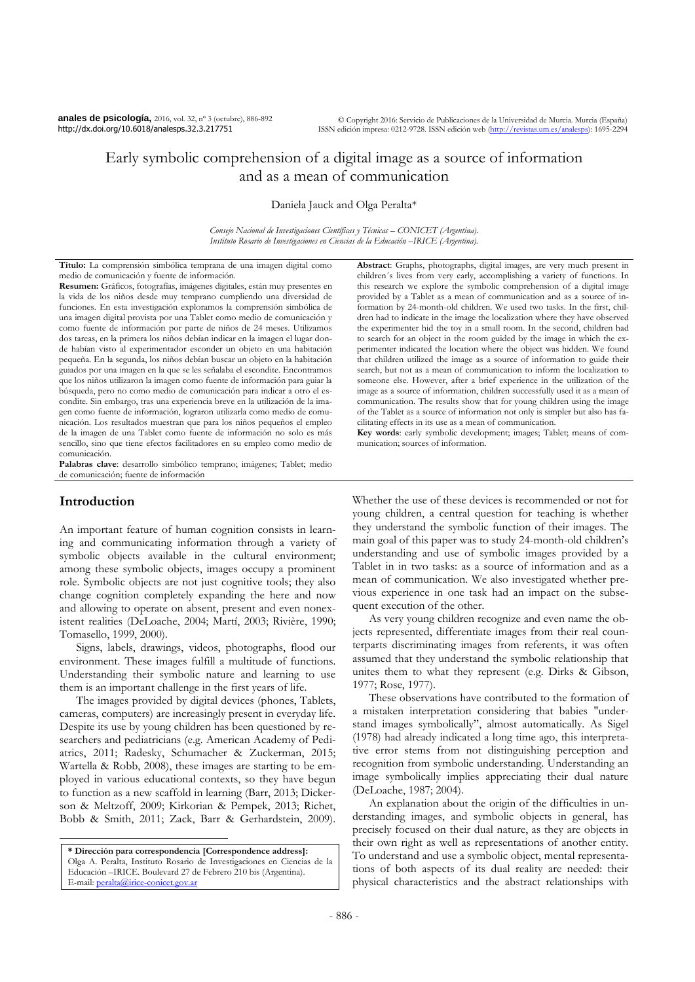**anales de psicología,** 2016, vol. 32, nº 3 (octubre), 886-892 http://dx.doi.org/10.6018/analesps.32.3.217751

© Copyright 2016: Servicio de Publicaciones de la Universidad de Murcia. Murcia (España) ISSN edición impresa: 0212-9728. ISSN edición web (http://revistas.um.es/analesps): 1695-2294

# Early symbolic comprehension of a digital image as a source of information and as a mean of communication

Daniela Jauck and Olga Peralta\*

*Consejo Nacional de Investigaciones Científicas y Técnicas – CONICET (Argentina). Instituto Rosario de Investigaciones en Ciencias de la Educación –IRICE (Argentina).*

**Título:** La comprensión simbólica temprana de una imagen digital como medio de comunicación y fuente de información.

**Resumen:** Gráficos, fotografías, imágenes digitales, están muy presentes en la vida de los niños desde muy temprano cumpliendo una diversidad de funciones. En esta investigación exploramos la comprensión simbólica de una imagen digital provista por una Tablet como medio de comunicación y como fuente de información por parte de niños de 24 meses. Utilizamos dos tareas, en la primera los niños debían indicar en la imagen el lugar donde habían visto al experimentador esconder un objeto en una habitación pequeña. En la segunda, los niños debían buscar un objeto en la habitación guiados por una imagen en la que se les señalaba el escondite. Encontramos que los niños utilizaron la imagen como fuente de información para guiar la búsqueda, pero no como medio de comunicación para indicar a otro el escondite. Sin embargo, tras una experiencia breve en la utilización de la imagen como fuente de información, lograron utilizarla como medio de comunicación. Los resultados muestran que para los niños pequeños el empleo de la imagen de una Tablet como fuente de información no solo es más sencillo, sino que tiene efectos facilitadores en su empleo como medio de comunicación.

**Palabras clave**: desarrollo simbólico temprano; imágenes; Tablet; medio de comunicación; fuente de información

# **Introduction**

 $\overline{a}$ 

An important feature of human cognition consists in learning and communicating information through a variety of symbolic objects available in the cultural environment; among these symbolic objects, images occupy a prominent role. Symbolic objects are not just cognitive tools; they also change cognition completely expanding the here and now and allowing to operate on absent, present and even nonexistent realities (DeLoache, 2004; Martí, 2003; Rivière, 1990; Tomasello, 1999, 2000).

Signs, labels, drawings, videos, photographs, flood our environment. These images fulfill a multitude of functions. Understanding their symbolic nature and learning to use them is an important challenge in the first years of life.

The images provided by digital devices (phones, Tablets, cameras, computers) are increasingly present in everyday life. Despite its use by young children has been questioned by researchers and pediatricians (e.g. American Academy of Pediatrics, 2011; Radesky, Schumacher & Zuckerman, 2015; Wartella & Robb, 2008), these images are starting to be employed in various educational contexts, so they have begun to function as a new scaffold in learning (Barr, 2013; Dickerson & Meltzoff, 2009; Kirkorian & Pempek, 2013; Richet, Bobb & Smith, 2011; Zack, Barr & Gerhardstein, 2009).

**\* Dirección para correspondencia [Correspondence address]:** Olga A. Peralta, Instituto Rosario de Investigaciones en Ciencias de la Educación –IRICE. Boulevard 27 de Febrero 210 bis (Argentina). E-mail[: peralta@irice-conicet.gov.ar](mailto:peralta@irice-conicet.gov.ar)

**Abstract**: Graphs, photographs, digital images, are very much present in children´s lives from very early, accomplishing a variety of functions. In this research we explore the symbolic comprehension of a digital image provided by a Tablet as a mean of communication and as a source of information by 24-month-old children. We used two tasks. In the first, children had to indicate in the image the localization where they have observed the experimenter hid the toy in a small room. In the second, children had to search for an object in the room guided by the image in which the experimenter indicated the location where the object was hidden. We found that children utilized the image as a source of information to guide their search, but not as a mean of communication to inform the localization to someone else. However, after a brief experience in the utilization of the image as a source of information, children successfully used it as a mean of communication. The results show that for young children using the image of the Tablet as a source of information not only is simpler but also has facilitating effects in its use as a mean of communication.

**Key words**: early symbolic development; images; Tablet; means of communication; sources of information.

Whether the use of these devices is recommended or not for young children, a central question for teaching is whether they understand the symbolic function of their images. The main goal of this paper was to study 24-month-old children's understanding and use of symbolic images provided by a Tablet in in two tasks: as a source of information and as a mean of communication. We also investigated whether previous experience in one task had an impact on the subsequent execution of the other.

As very young children recognize and even name the objects represented, differentiate images from their real counterparts discriminating images from referents, it was often assumed that they understand the symbolic relationship that unites them to what they represent (e.g. Dirks & Gibson, 1977; Rose, 1977).

These observations have contributed to the formation of a mistaken interpretation considering that babies "understand images symbolically", almost automatically. As Sigel (1978) had already indicated a long time ago, this interpretative error stems from not distinguishing perception and recognition from symbolic understanding. Understanding an image symbolically implies appreciating their dual nature (DeLoache, 1987; 2004).

An explanation about the origin of the difficulties in understanding images, and symbolic objects in general, has precisely focused on their dual nature, as they are objects in their own right as well as representations of another entity. To understand and use a symbolic object, mental representations of both aspects of its dual reality are needed: their physical characteristics and the abstract relationships with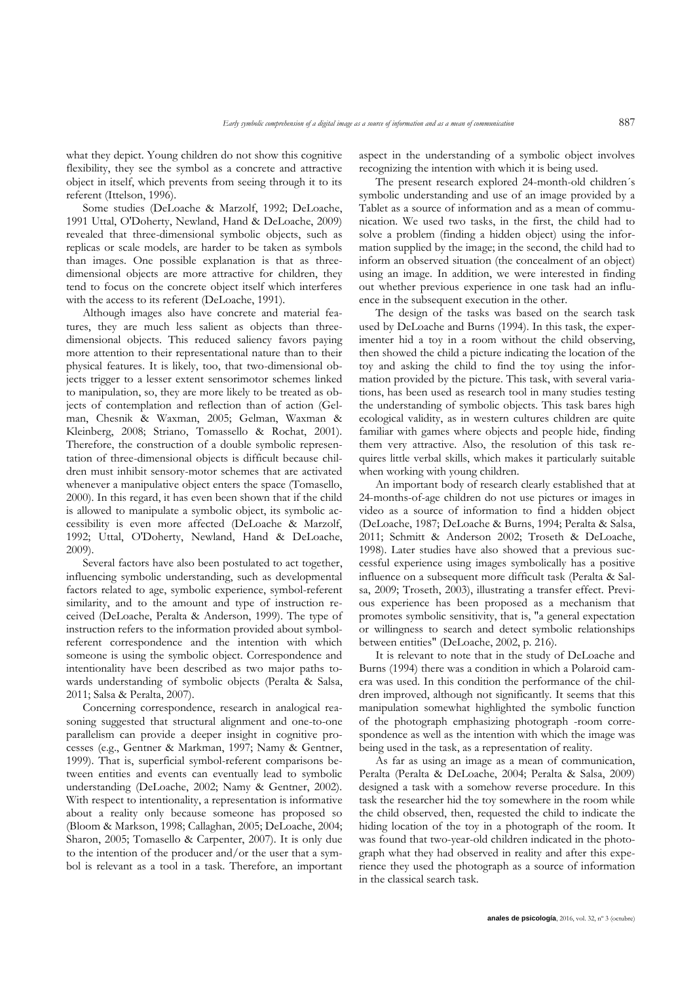what they depict. Young children do not show this cognitive flexibility, they see the symbol as a concrete and attractive object in itself, which prevents from seeing through it to its referent (Ittelson, 1996).

Some studies (DeLoache & Marzolf, 1992; DeLoache, 1991 Uttal, O'Doherty, Newland, Hand & DeLoache, 2009) revealed that three-dimensional symbolic objects, such as replicas or scale models, are harder to be taken as symbols than images. One possible explanation is that as threedimensional objects are more attractive for children, they tend to focus on the concrete object itself which interferes with the access to its referent (DeLoache, 1991).

Although images also have concrete and material features, they are much less salient as objects than threedimensional objects. This reduced saliency favors paying more attention to their representational nature than to their physical features. It is likely, too, that two-dimensional objects trigger to a lesser extent sensorimotor schemes linked to manipulation, so, they are more likely to be treated as objects of contemplation and reflection than of action (Gelman, Chesnik & Waxman, 2005; Gelman, Waxman & Kleinberg, 2008; Striano, Tomassello & Rochat, 2001). Therefore, the construction of a double symbolic representation of three-dimensional objects is difficult because children must inhibit sensory-motor schemes that are activated whenever a manipulative object enters the space (Tomasello, 2000). In this regard, it has even been shown that if the child is allowed to manipulate a symbolic object, its symbolic accessibility is even more affected (DeLoache & Marzolf, 1992; Uttal, O'Doherty, Newland, Hand & DeLoache, 2009).

Several factors have also been postulated to act together, influencing symbolic understanding, such as developmental factors related to age, symbolic experience, symbol-referent similarity, and to the amount and type of instruction received (DeLoache, Peralta & Anderson, 1999). The type of instruction refers to the information provided about symbolreferent correspondence and the intention with which someone is using the symbolic object. Correspondence and intentionality have been described as two major paths towards understanding of symbolic objects (Peralta & Salsa, 2011; Salsa & Peralta, 2007).

Concerning correspondence, research in analogical reasoning suggested that structural alignment and one-to-one parallelism can provide a deeper insight in cognitive processes (e.g., Gentner & Markman, 1997; Namy & Gentner, 1999). That is, superficial symbol-referent comparisons between entities and events can eventually lead to symbolic understanding (DeLoache, 2002; Namy & Gentner, 2002). With respect to intentionality, a representation is informative about a reality only because someone has proposed so (Bloom & Markson, 1998; Callaghan, 2005; DeLoache, 2004; Sharon, 2005; Tomasello & Carpenter, 2007). It is only due to the intention of the producer and/or the user that a symbol is relevant as a tool in a task. Therefore, an important aspect in the understanding of a symbolic object involves recognizing the intention with which it is being used.

The present research explored 24-month-old children´s symbolic understanding and use of an image provided by a Tablet as a source of information and as a mean of communication. We used two tasks, in the first, the child had to solve a problem (finding a hidden object) using the information supplied by the image; in the second, the child had to inform an observed situation (the concealment of an object) using an image. In addition, we were interested in finding out whether previous experience in one task had an influence in the subsequent execution in the other.

The design of the tasks was based on the search task used by DeLoache and Burns (1994). In this task, the experimenter hid a toy in a room without the child observing, then showed the child a picture indicating the location of the toy and asking the child to find the toy using the information provided by the picture. This task, with several variations, has been used as research tool in many studies testing the understanding of symbolic objects. This task bares high ecological validity, as in western cultures children are quite familiar with games where objects and people hide, finding them very attractive. Also, the resolution of this task requires little verbal skills, which makes it particularly suitable when working with young children.

An important body of research clearly established that at 24-months-of-age children do not use pictures or images in video as a source of information to find a hidden object (DeLoache, 1987; DeLoache & Burns, 1994; Peralta & Salsa, 2011; Schmitt & Anderson 2002; Troseth & DeLoache, 1998). Later studies have also showed that a previous successful experience using images symbolically has a positive influence on a subsequent more difficult task (Peralta & Salsa, 2009; Troseth, 2003), illustrating a transfer effect. Previous experience has been proposed as a mechanism that promotes symbolic sensitivity, that is, "a general expectation or willingness to search and detect symbolic relationships between entities" (DeLoache, 2002, p. 216).

It is relevant to note that in the study of DeLoache and Burns (1994) there was a condition in which a Polaroid camera was used. In this condition the performance of the children improved, although not significantly. It seems that this manipulation somewhat highlighted the symbolic function of the photograph emphasizing photograph -room correspondence as well as the intention with which the image was being used in the task, as a representation of reality.

As far as using an image as a mean of communication, Peralta (Peralta & DeLoache, 2004; Peralta & Salsa, 2009) designed a task with a somehow reverse procedure. In this task the researcher hid the toy somewhere in the room while the child observed, then, requested the child to indicate the hiding location of the toy in a photograph of the room. It was found that two-year-old children indicated in the photograph what they had observed in reality and after this experience they used the photograph as a source of information in the classical search task.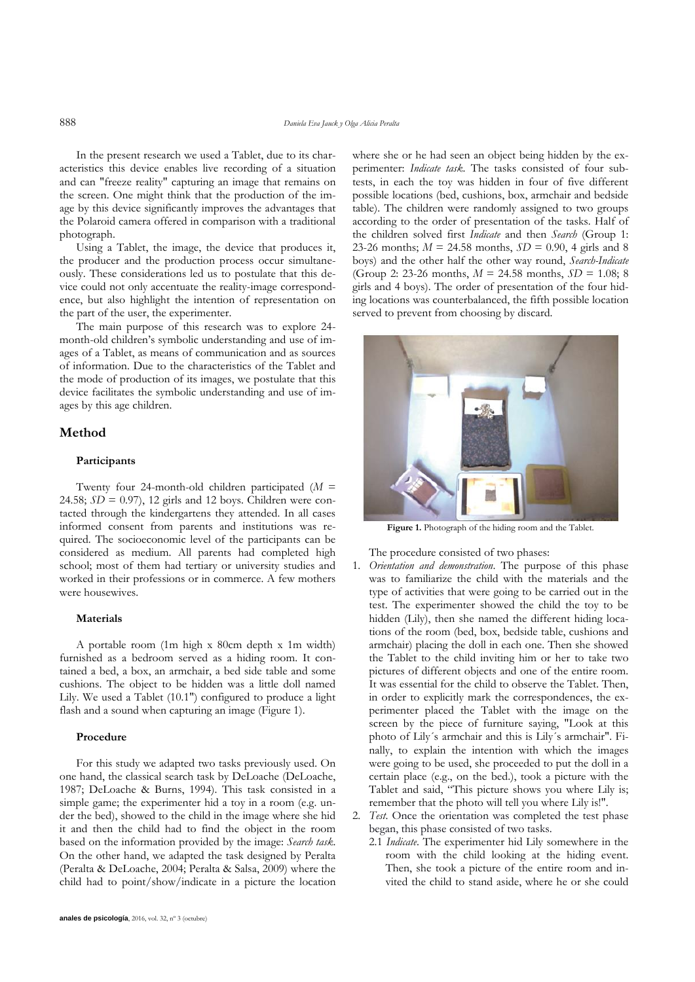In the present research we used a Tablet, due to its characteristics this device enables live recording of a situation and can "freeze reality" capturing an image that remains on the screen. One might think that the production of the image by this device significantly improves the advantages that the Polaroid camera offered in comparison with a traditional photograph.

Using a Tablet, the image, the device that produces it, the producer and the production process occur simultaneously. These considerations led us to postulate that this device could not only accentuate the reality-image correspondence, but also highlight the intention of representation on the part of the user, the experimenter.

The main purpose of this research was to explore 24 month-old children's symbolic understanding and use of images of a Tablet, as means of communication and as sources of information. Due to the characteristics of the Tablet and the mode of production of its images, we postulate that this device facilitates the symbolic understanding and use of images by this age children.

# **Method**

### **Participants**

Twenty four 24-month-old children participated (*M* = 24.58; *SD* = 0.97), 12 girls and 12 boys. Children were contacted through the kindergartens they attended. In all cases informed consent from parents and institutions was required. The socioeconomic level of the participants can be considered as medium. All parents had completed high school; most of them had tertiary or university studies and worked in their professions or in commerce. A few mothers were housewives.

## **Materials**

A portable room (1m high x 80cm depth x 1m width) furnished as a bedroom served as a hiding room. It contained a bed, a box, an armchair, a bed side table and some cushions. The object to be hidden was a little doll named Lily. We used a Tablet (10.1") configured to produce a light flash and a sound when capturing an image (Figure 1).

## **Procedure**

For this study we adapted two tasks previously used. On one hand, the classical search task by DeLoache (DeLoache, 1987; DeLoache & Burns, 1994). This task consisted in a simple game; the experimenter hid a toy in a room (e.g. under the bed), showed to the child in the image where she hid it and then the child had to find the object in the room based on the information provided by the image: *Search task*. On the other hand, we adapted the task designed by Peralta (Peralta & DeLoache, 2004; Peralta & Salsa, 2009) where the child had to point/show/indicate in a picture the location where she or he had seen an object being hidden by the experimenter: *Indicate task*. The tasks consisted of four subtests, in each the toy was hidden in four of five different possible locations (bed, cushions, box, armchair and bedside table). The children were randomly assigned to two groups according to the order of presentation of the tasks. Half of the children solved first *Indicate* and then *Search* (Group 1: 23-26 months;  $M = 24.58$  months,  $SD = 0.90$ , 4 girls and 8 boys) and the other half the other way round, *Search-Indicate* (Group 2: 23-26 months, *M* = 24.58 months, *SD* = 1.08; 8 girls and 4 boys). The order of presentation of the four hiding locations was counterbalanced, the fifth possible location served to prevent from choosing by discard.



**Figure 1.** Photograph of the hiding room and the Tablet.

The procedure consisted of two phases:

- 1. *Orientation and demonstration*. The purpose of this phase was to familiarize the child with the materials and the type of activities that were going to be carried out in the test. The experimenter showed the child the toy to be hidden (Lily), then she named the different hiding locations of the room (bed, box, bedside table, cushions and armchair) placing the doll in each one. Then she showed the Tablet to the child inviting him or her to take two pictures of different objects and one of the entire room. It was essential for the child to observe the Tablet. Then, in order to explicitly mark the correspondences, the experimenter placed the Tablet with the image on the screen by the piece of furniture saying, "Look at this photo of Lily´s armchair and this is Lily´s armchair". Finally, to explain the intention with which the images were going to be used, she proceeded to put the doll in a certain place (e.g., on the bed.), took a picture with the Tablet and said, "This picture shows you where Lily is; remember that the photo will tell you where Lily is!".
- 2. *Test*. Once the orientation was completed the test phase began, this phase consisted of two tasks.
	- 2.1 *Indicate*. The experimenter hid Lily somewhere in the room with the child looking at the hiding event. Then, she took a picture of the entire room and invited the child to stand aside, where he or she could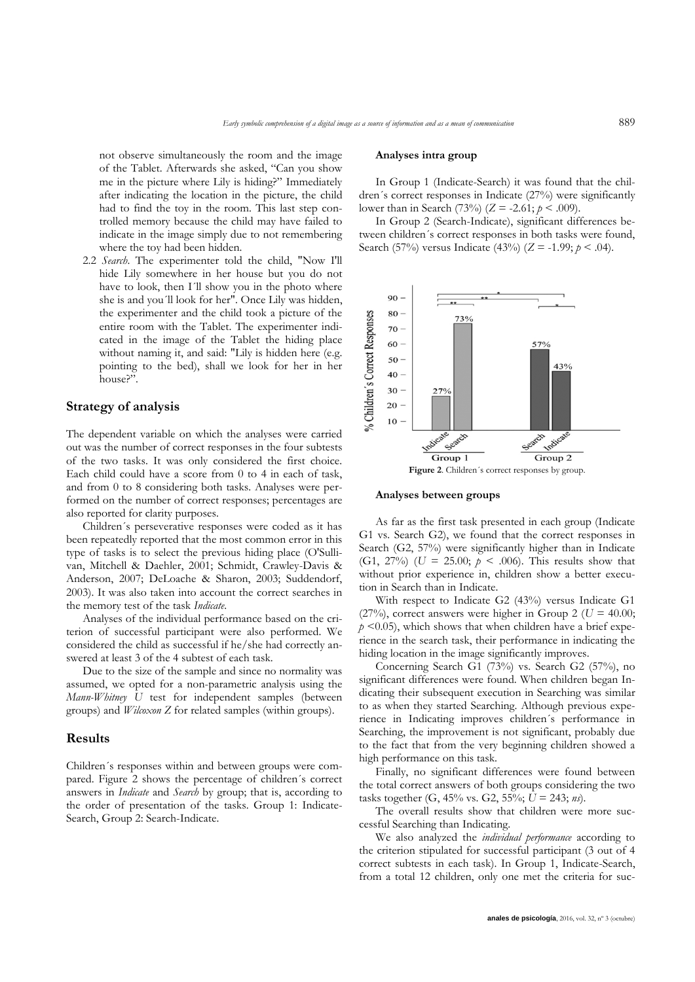not observe simultaneously the room and the image of the Tablet. Afterwards she asked, "Can you show me in the picture where Lily is hiding?" Immediately after indicating the location in the picture, the child had to find the toy in the room. This last step controlled memory because the child may have failed to indicate in the image simply due to not remembering where the toy had been hidden.

2.2 *Search*. The experimenter told the child, "Now I'll hide Lily somewhere in her house but you do not have to look, then I'll show you in the photo where she is and you´ll look for her". Once Lily was hidden, the experimenter and the child took a picture of the entire room with the Tablet. The experimenter indicated in the image of the Tablet the hiding place without naming it, and said: "Lily is hidden here (e.g. pointing to the bed), shall we look for her in her house?".

## **Strategy of analysis**

The dependent variable on which the analyses were carried out was the number of correct responses in the four subtests of the two tasks. It was only considered the first choice. Each child could have a score from 0 to 4 in each of task, and from 0 to 8 considering both tasks. Analyses were performed on the number of correct responses; percentages are also reported for clarity purposes.

Children´s perseverative responses were coded as it has been repeatedly reported that the most common error in this type of tasks is to select the previous hiding place (O'Sullivan, Mitchell & Daehler, 2001; Schmidt, Crawley-Davis & Anderson, 2007; DeLoache & Sharon, 2003; Suddendorf, 2003). It was also taken into account the correct searches in the memory test of the task *Indicate*.

Analyses of the individual performance based on the criterion of successful participant were also performed. We considered the child as successful if he/she had correctly answered at least 3 of the 4 subtest of each task.

Due to the size of the sample and since no normality was assumed, we opted for a non-parametric analysis using the *Mann-Whitney U* test for independent samples (between groups) and *Wilcoxon Z* for related samples (within groups).

## **Results**

Children´s responses within and between groups were compared. Figure 2 shows the percentage of children´s correct answers in *Indicate* and *Search* by group; that is, according to the order of presentation of the tasks. Group 1: Indicate-Search, Group 2: Search-Indicate.

#### **Analyses intra group**

In Group 1 (Indicate-Search) it was found that the children´s correct responses in Indicate (27%) were significantly lower than in Search (73%) (*Z* = -2.61; *p* < .009).

In Group 2 (Search-Indicate), significant differences between children´s correct responses in both tasks were found, Search (57%) versus Indicate (43%) (*Z* = -1.99; *p* < .04).



### **Analyses between groups**

As far as the first task presented in each group (Indicate G1 vs. Search G2), we found that the correct responses in Search (G2, 57%) were significantly higher than in Indicate (G1, 27%) ( $U = 25.00; p < .006$ ). This results show that without prior experience in, children show a better execution in Search than in Indicate.

With respect to Indicate G2 (43%) versus Indicate G1 (27%), correct answers were higher in Group 2 (*U* = 40.00;  $p \leq 0.05$ , which shows that when children have a brief experience in the search task, their performance in indicating the hiding location in the image significantly improves.

Concerning Search G1 (73%) vs. Search G2 (57%), no significant differences were found. When children began Indicating their subsequent execution in Searching was similar to as when they started Searching. Although previous experience in Indicating improves children´s performance in Searching, the improvement is not significant, probably due to the fact that from the very beginning children showed a high performance on this task.

Finally, no significant differences were found between the total correct answers of both groups considering the two tasks together (G, 45% vs. G2, 55%; *U* = 243; *ns*).

The overall results show that children were more successful Searching than Indicating.

We also analyzed the *individual performance* according to the criterion stipulated for successful participant (3 out of 4 correct subtests in each task). In Group 1, Indicate-Search, from a total 12 children, only one met the criteria for suc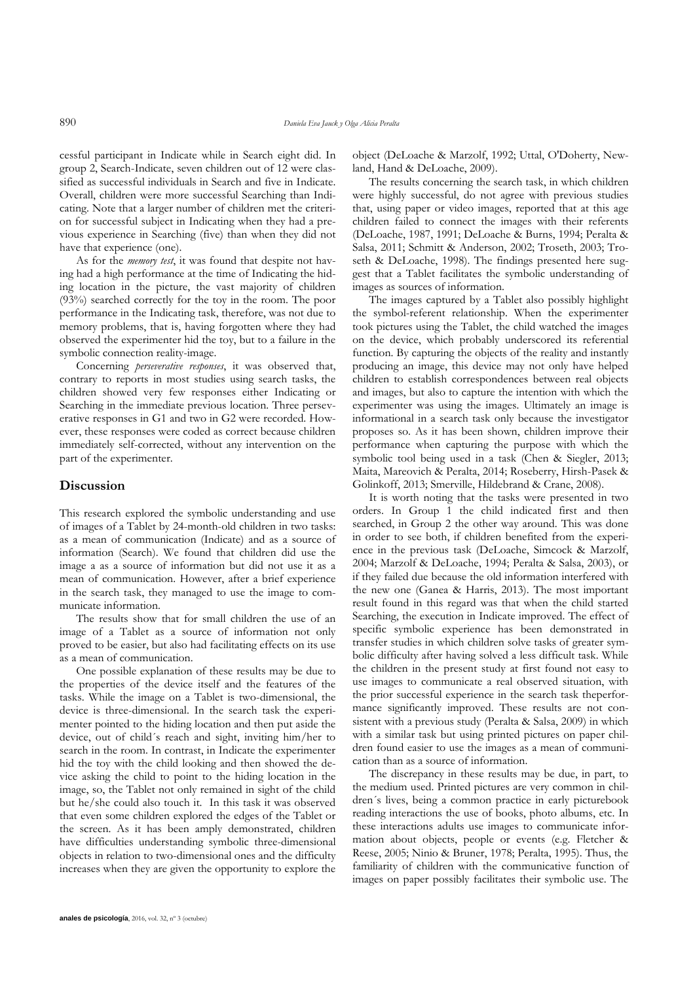cessful participant in Indicate while in Search eight did. In group 2, Search-Indicate, seven children out of 12 were classified as successful individuals in Search and five in Indicate. Overall, children were more successful Searching than Indicating. Note that a larger number of children met the criterion for successful subject in Indicating when they had a previous experience in Searching (five) than when they did not have that experience (one).

As for the *memory test*, it was found that despite not having had a high performance at the time of Indicating the hiding location in the picture, the vast majority of children (93%) searched correctly for the toy in the room. The poor performance in the Indicating task, therefore, was not due to memory problems, that is, having forgotten where they had observed the experimenter hid the toy, but to a failure in the symbolic connection reality-image.

Concerning *perseverative responses*, it was observed that, contrary to reports in most studies using search tasks, the children showed very few responses either Indicating or Searching in the immediate previous location. Three perseverative responses in G1 and two in G2 were recorded. However, these responses were coded as correct because children immediately self-corrected, without any intervention on the part of the experimenter.

## **Discussion**

This research explored the symbolic understanding and use of images of a Tablet by 24-month-old children in two tasks: as a mean of communication (Indicate) and as a source of information (Search). We found that children did use the image a as a source of information but did not use it as a mean of communication. However, after a brief experience in the search task, they managed to use the image to communicate information.

The results show that for small children the use of an image of a Tablet as a source of information not only proved to be easier, but also had facilitating effects on its use as a mean of communication.

One possible explanation of these results may be due to the properties of the device itself and the features of the tasks. While the image on a Tablet is two-dimensional, the device is three-dimensional. In the search task the experimenter pointed to the hiding location and then put aside the device, out of child´s reach and sight, inviting him/her to search in the room. In contrast, in Indicate the experimenter hid the toy with the child looking and then showed the device asking the child to point to the hiding location in the image, so, the Tablet not only remained in sight of the child but he/she could also touch it. In this task it was observed that even some children explored the edges of the Tablet or the screen. As it has been amply demonstrated, children have difficulties understanding symbolic three-dimensional objects in relation to two-dimensional ones and the difficulty increases when they are given the opportunity to explore the object (DeLoache & Marzolf, 1992; Uttal, O'Doherty, Newland, Hand & DeLoache, 2009).

The results concerning the search task, in which children were highly successful, do not agree with previous studies that, using paper or video images, reported that at this age children failed to connect the images with their referents (DeLoache, 1987, 1991; DeLoache & Burns, 1994; Peralta & Salsa, 2011; Schmitt & Anderson, 2002; Troseth, 2003; Troseth & DeLoache, 1998). The findings presented here suggest that a Tablet facilitates the symbolic understanding of images as sources of information.

The images captured by a Tablet also possibly highlight the symbol-referent relationship. When the experimenter took pictures using the Tablet, the child watched the images on the device, which probably underscored its referential function. By capturing the objects of the reality and instantly producing an image, this device may not only have helped children to establish correspondences between real objects and images, but also to capture the intention with which the experimenter was using the images. Ultimately an image is informational in a search task only because the investigator proposes so. As it has been shown, children improve their performance when capturing the purpose with which the symbolic tool being used in a task (Chen & Siegler, 2013; Maita, Mareovich & Peralta, 2014; Roseberry, Hirsh-Pasek & Golinkoff, 2013; Smerville, Hildebrand & Crane, 2008).

It is worth noting that the tasks were presented in two orders. In Group 1 the child indicated first and then searched, in Group 2 the other way around. This was done in order to see both, if children benefited from the experience in the previous task (DeLoache, Simcock & Marzolf, 2004; Marzolf & DeLoache, 1994; Peralta & Salsa, 2003), or if they failed due because the old information interfered with the new one (Ganea & Harris, 2013). The most important result found in this regard was that when the child started Searching, the execution in Indicate improved. The effect of specific symbolic experience has been demonstrated in transfer studies in which children solve tasks of greater symbolic difficulty after having solved a less difficult task. While the children in the present study at first found not easy to use images to communicate a real observed situation, with the prior successful experience in the search task theperformance significantly improved. These results are not consistent with a previous study (Peralta & Salsa, 2009) in which with a similar task but using printed pictures on paper children found easier to use the images as a mean of communication than as a source of information.

The discrepancy in these results may be due, in part, to the medium used. Printed pictures are very common in children´s lives, being a common practice in early picturebook reading interactions the use of books, photo albums, etc. In these interactions adults use images to communicate information about objects, people or events (e.g. Fletcher & Reese, 2005; Ninio & Bruner, 1978; Peralta, 1995). Thus, the familiarity of children with the communicative function of images on paper possibly facilitates their symbolic use. The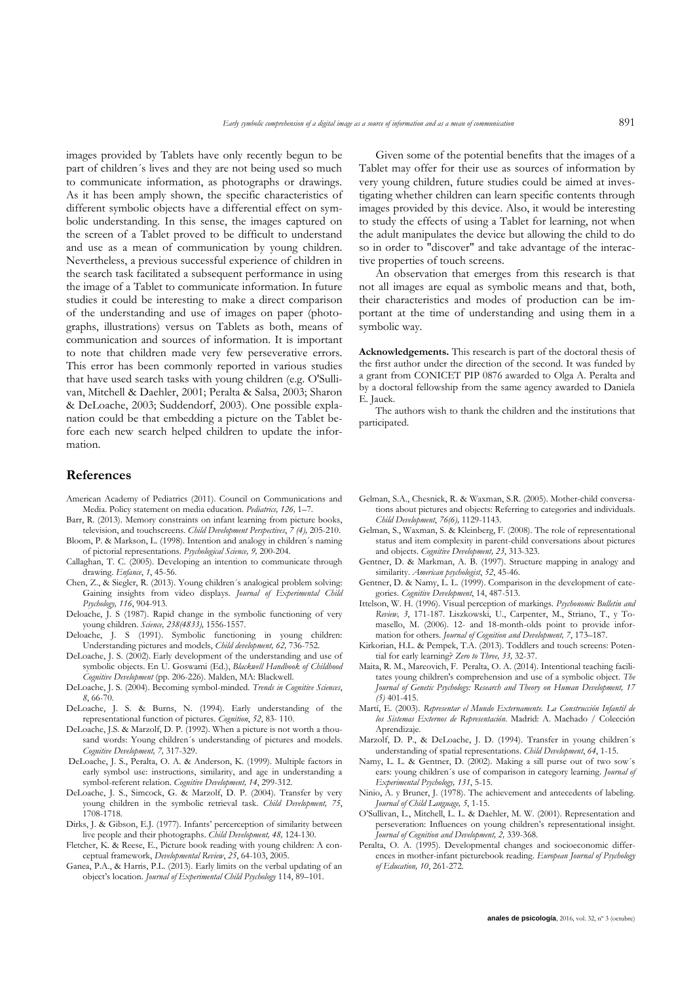images provided by Tablets have only recently begun to be part of children´s lives and they are not being used so much to communicate information, as photographs or drawings. As it has been amply shown, the specific characteristics of different symbolic objects have a differential effect on symbolic understanding. In this sense, the images captured on the screen of a Tablet proved to be difficult to understand and use as a mean of communication by young children. Nevertheless, a previous successful experience of children in the search task facilitated a subsequent performance in using the image of a Tablet to communicate information. In future studies it could be interesting to make a direct comparison of the understanding and use of images on paper (photographs, illustrations) versus on Tablets as both, means of communication and sources of information. It is important to note that children made very few perseverative errors. This error has been commonly reported in various studies that have used search tasks with young children (e.g. O'Sullivan, Mitchell & Daehler, 2001; Peralta & Salsa, 2003; Sharon & DeLoache, 2003; Suddendorf, 2003). One possible explanation could be that embedding a picture on the Tablet before each new search helped children to update the information.

**References**

- American Academy of Pediatrics (2011). Council on Communications and Media. Policy statement on media education. *Pediatrics, 126,* 1–7.
- Barr, R. (2013). Memory constraints on infant learning from picture books, television, and touchscreens. *Child Development Perspectives*, *7 (4),* 205-210.
- Bloom, P. & Markson, L. (1998). Intention and analogy in children´s naming of pictorial representations. *Psychological Science, 9,* 200-204.
- Callaghan, T. C. (2005). Developing an intention to communicate through drawing. *Enfance*, *1*, 45-56.
- Chen, Z., & Siegler, R. (2013). Young children´s analogical problem solving: Gaining insights from video displays. *Journal of Experimental Child Psychology, 116*, 904-913.
- Deloache, J. S (1987). Rapid change in the symbolic functioning of very young children. *Science, 238(4833),* 1556-1557.
- Deloache, J. S (1991). Symbolic functioning in young children: Understanding pictures and models, *Child development, 62,* 736-752.
- DeLoache, J. S. (2002). Early development of the understanding and use of symbolic objects. En U. Goswami (Ed.), *Blackwell Handbook of Childhood Cognitive Development* (pp. 206-226). Malden, MA: Blackwell.
- DeLoache, J. S. (2004). Becoming symbol-minded. *Trends in Cognitive Sciences*, *8*, 66-70.
- DeLoache, J. S. & Burns, N. (1994). Early understanding of the representational function of pictures. *Cognition*, *52*, 83- 110.
- DeLoache, J.S. & Marzolf, D. P. (1992). When a picture is not worth a thousand words: Young children´s understanding of pictures and models. *Cognitive Development, 7,* 317-329.
- DeLoache, J. S., Peralta, O. A. & Anderson, K. (1999). Multiple factors in early symbol use: instructions, similarity, and age in understanding a symbol-referent relation. *Cognitive Development, 14*, 299-312.
- DeLoache, J. S., Simcock, G. & Marzolf, D. P. (2004). Transfer by very young children in the symbolic retrieval task. *Child Development, 75*, 1708-1718.
- Dirks, J. & Gibson, E.J. (1977). Infants' percerception of similarity between live people and their photographs. *Child Development, 48,* 124-130.
- Fletcher, K. & Reese, E., Picture book reading with young children: A conceptual framework, *Developmental Review*, *25*, 64-103, 2005.
- Ganea, P.A., & Harris, P.L. (2013). Early limits on the verbal updating of an object's location. *Journal of Experimental Child Psychology* 114, 89–101.

Given some of the potential benefits that the images of a Tablet may offer for their use as sources of information by very young children, future studies could be aimed at investigating whether children can learn specific contents through images provided by this device. Also, it would be interesting to study the effects of using a Tablet for learning, not when the adult manipulates the device but allowing the child to do so in order to "discover" and take advantage of the interactive properties of touch screens.

An observation that emerges from this research is that not all images are equal as symbolic means and that, both, their characteristics and modes of production can be important at the time of understanding and using them in a symbolic way.

**Acknowledgements.** This research is part of the doctoral thesis of the first author under the direction of the second. It was funded by a grant from CONICET PIP 0876 awarded to Olga A. Peralta and by a doctoral fellowship from the same agency awarded to Daniela E. Jauck.

The authors wish to thank the children and the institutions that participated.

- Gelman, S.A., Chesnick, R. & Waxman, S.R. (2005). [Mother-child conversa](http://groups.psych.northwestern.edu/waxman/documents/GelmanChesnickWaxman2005ChildDev.pdf)[tions about pictures and objects: Referring to categories and individuals.](http://groups.psych.northwestern.edu/waxman/documents/GelmanChesnickWaxman2005ChildDev.pdf)  *Child Development*, *76(6),* 1129-1143.
- Gelman, S., Waxman, S. & Kleinberg, F. (2008). [The role of representational](http://groups.psych.northwestern.edu/waxman/documents/GelmanWaxmanKleinberg2008CogDev.pdf)  [status and item complexity in parent-child conversations about pictures](http://groups.psych.northwestern.edu/waxman/documents/GelmanWaxmanKleinberg2008CogDev.pdf)  and [objects.](http://groups.psych.northwestern.edu/waxman/documents/GelmanWaxmanKleinberg2008CogDev.pdf) *Cognitive Development, 23*, 313-323.
- Gentner, D. & Markman, A. B. (1997). Structure mapping in analogy and similarity. *American psychologist*, *52*, 45-46.
- Gentner, D. & Namy, L. L. (1999). Comparison in the development of categories. *Cognitive Development*, 14, 487-513.
- Ittelson, W. H. (1996). Visual perception of markings. *Psychonomic Bulletin and Review, 3*, 171-187. Liszkowski, U., Carpenter, M., Striano, T., y Tomasello, M. (2006). 12- and 18-month-olds point to provide information for others. *Journal of Cognition and Development, 7*, 173–187.
- Kirkorian, H.L. & Pempek, T.A. (2013). Toddlers and touch screens: Potential for early learning? *Zero to Three, 33,* 32-37.
- Maita, R. M., Mareovich, F. Peralta, O. A. (2014). Intentional teaching facilitates young children's comprehension and use of a symbolic object. *The Journal of Genetic Psychology: Research and Theory on Human Development, 17 (5)* 401-415.
- Martí, E. (2003). *Representar el Mundo Externamente. La Construcción Infantil de los Sistemas Externos de Representación*. Madrid: A. Machado / Colección Aprendizaje.
- Marzolf, D. P., & DeLoache, J. D. (1994). Transfer in young children´s understanding of spatial representations. *Child Development*, *64*, 1-15.
- Namy, L. L. & Gentner, D. (2002). Making a sill purse out of two sow´s ears: young children´s use of comparison in category learning. *Journal of Experimental Psychology, 131*, 5-15.
- Ninio, A. y Bruner, J. (1978). The achievement and antecedents of labeling. *Journal of Child Language, 5*, 1-15.
- O'Sullivan, L., Mitchell, L. L. & Daehler, M. W. (2001). Representation and perseveration: Influences on young children's representational insight. *Journal of Cognition and Development, 2,* 339-368*.*
- Peralta, O. A. (1995). Developmental changes and socioeconomic differences in mother-infant picturebook reading. *European Journal of Psychology of Education, 10*, 261-272.